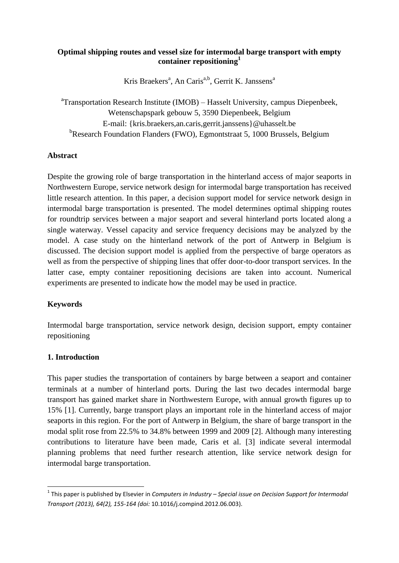# **Optimal shipping routes and vessel size for intermodal barge transport with empty container repositioning 1**

Kris Braekers<sup>a</sup>, An Caris<sup>a,b</sup>, Gerrit K. Janssens<sup>a</sup>

<sup>a</sup>Transportation Research Institute (IMOB) – Hasselt University, campus Diepenbeek, Wetenschapspark gebouw 5, 3590 Diepenbeek, Belgium E-mail: {kris.braekers,an.caris,gerrit.janssens}@uhasselt.be <sup>b</sup>Research Foundation Flanders (FWO), Egmontstraat 5, 1000 Brussels, Belgium

### **Abstract**

Despite the growing role of barge transportation in the hinterland access of major seaports in Northwestern Europe, service network design for intermodal barge transportation has received little research attention. In this paper, a decision support model for service network design in intermodal barge transportation is presented. The model determines optimal shipping routes for roundtrip services between a major seaport and several hinterland ports located along a single waterway. Vessel capacity and service frequency decisions may be analyzed by the model. A case study on the hinterland network of the port of Antwerp in Belgium is discussed. The decision support model is applied from the perspective of barge operators as well as from the perspective of shipping lines that offer door-to-door transport services. In the latter case, empty container repositioning decisions are taken into account. Numerical experiments are presented to indicate how the model may be used in practice.

### **Keywords**

Intermodal barge transportation, service network design, decision support, empty container repositioning

### **1. Introduction**

**.** 

This paper studies the transportation of containers by barge between a seaport and container terminals at a number of hinterland ports. During the last two decades intermodal barge transport has gained market share in Northwestern Europe, with annual growth figures up to 15% [1]. Currently, barge transport plays an important role in the hinterland access of major seaports in this region. For the port of Antwerp in Belgium, the share of barge transport in the modal split rose from 22.5% to 34.8% between 1999 and 2009 [2]. Although many interesting contributions to literature have been made, Caris et al. [3] indicate several intermodal planning problems that need further research attention, like service network design for intermodal barge transportation.

<sup>1</sup> This paper is published by Elsevier in *Computers in Industry – Special issue on Decision Support for Intermodal Transport (2013), 64(2), 155-164 (doi:* 10.1016/j.compind.2012.06.003).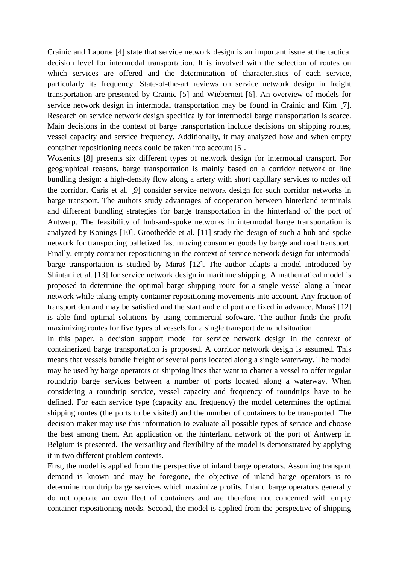Crainic and Laporte [4] state that service network design is an important issue at the tactical decision level for intermodal transportation. It is involved with the selection of routes on which services are offered and the determination of characteristics of each service, particularly its frequency. State-of-the-art reviews on service network design in freight transportation are presented by Crainic [5] and Wieberneit [6]. An overview of models for service network design in intermodal transportation may be found in Crainic and Kim [7]. Research on service network design specifically for intermodal barge transportation is scarce. Main decisions in the context of barge transportation include decisions on shipping routes, vessel capacity and service frequency. Additionally, it may analyzed how and when empty container repositioning needs could be taken into account [5].

Woxenius [8] presents six different types of network design for intermodal transport. For geographical reasons, barge transportation is mainly based on a corridor network or line bundling design: a high-density flow along a artery with short capillary services to nodes off the corridor. Caris et al. [9] consider service network design for such corridor networks in barge transport. The authors study advantages of cooperation between hinterland terminals and different bundling strategies for barge transportation in the hinterland of the port of Antwerp. The feasibility of hub-and-spoke networks in intermodal barge transportation is analyzed by Konings [10]. Groothedde et al. [11] study the design of such a hub-and-spoke network for transporting palletized fast moving consumer goods by barge and road transport. Finally, empty container repositioning in the context of service network design for intermodal barge transportation is studied by Maraš [12]. The author adapts a model introduced by Shintani et al. [13] for service network design in maritime shipping. A mathematical model is proposed to determine the optimal barge shipping route for a single vessel along a linear network while taking empty container repositioning movements into account. Any fraction of transport demand may be satisfied and the start and end port are fixed in advance. Maraš [12] is able find optimal solutions by using commercial software. The author finds the profit maximizing routes for five types of vessels for a single transport demand situation.

In this paper, a decision support model for service network design in the context of containerized barge transportation is proposed. A corridor network design is assumed. This means that vessels bundle freight of several ports located along a single waterway. The model may be used by barge operators or shipping lines that want to charter a vessel to offer regular roundtrip barge services between a number of ports located along a waterway. When considering a roundtrip service, vessel capacity and frequency of roundtrips have to be defined. For each service type (capacity and frequency) the model determines the optimal shipping routes (the ports to be visited) and the number of containers to be transported. The decision maker may use this information to evaluate all possible types of service and choose the best among them. An application on the hinterland network of the port of Antwerp in Belgium is presented. The versatility and flexibility of the model is demonstrated by applying it in two different problem contexts.

First, the model is applied from the perspective of inland barge operators. Assuming transport demand is known and may be foregone, the objective of inland barge operators is to determine roundtrip barge services which maximize profits. Inland barge operators generally do not operate an own fleet of containers and are therefore not concerned with empty container repositioning needs. Second, the model is applied from the perspective of shipping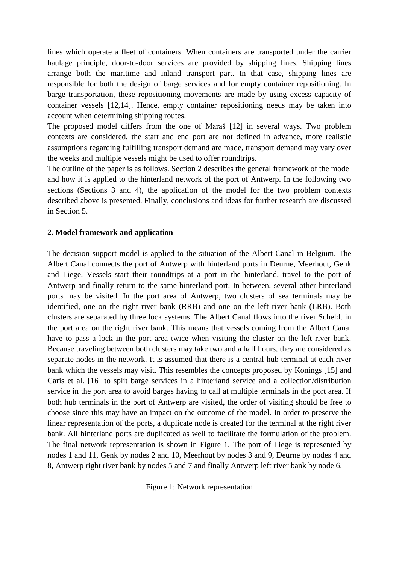lines which operate a fleet of containers. When containers are transported under the carrier haulage principle, door-to-door services are provided by shipping lines. Shipping lines arrange both the maritime and inland transport part. In that case, shipping lines are responsible for both the design of barge services and for empty container repositioning. In barge transportation, these repositioning movements are made by using excess capacity of container vessels [12,14]. Hence, empty container repositioning needs may be taken into account when determining shipping routes.

The proposed model differs from the one of Maraš [12] in several ways. Two problem contexts are considered, the start and end port are not defined in advance, more realistic assumptions regarding fulfilling transport demand are made, transport demand may vary over the weeks and multiple vessels might be used to offer roundtrips.

The outline of the paper is as follows. Section 2 describes the general framework of the model and how it is applied to the hinterland network of the port of Antwerp. In the following two sections (Sections 3 and 4), the application of the model for the two problem contexts described above is presented. Finally, conclusions and ideas for further research are discussed in Section 5.

# **2. Model framework and application**

The decision support model is applied to the situation of the Albert Canal in Belgium. The Albert Canal connects the port of Antwerp with hinterland ports in Deurne, Meerhout, Genk and Liege. Vessels start their roundtrips at a port in the hinterland, travel to the port of Antwerp and finally return to the same hinterland port. In between, several other hinterland ports may be visited. In the port area of Antwerp, two clusters of sea terminals may be identified, one on the right river bank (RRB) and one on the left river bank (LRB). Both clusters are separated by three lock systems. The Albert Canal flows into the river Scheldt in the port area on the right river bank. This means that vessels coming from the Albert Canal have to pass a lock in the port area twice when visiting the cluster on the left river bank. Because traveling between both clusters may take two and a half hours, they are considered as separate nodes in the network. It is assumed that there is a central hub terminal at each river bank which the vessels may visit. This resembles the concepts proposed by Konings [15] and Caris et al. [16] to split barge services in a hinterland service and a collection/distribution service in the port area to avoid barges having to call at multiple terminals in the port area. If both hub terminals in the port of Antwerp are visited, the order of visiting should be free to choose since this may have an impact on the outcome of the model. In order to preserve the linear representation of the ports, a duplicate node is created for the terminal at the right river bank. All hinterland ports are duplicated as well to facilitate the formulation of the problem. The final network representation is shown in Figure 1. The port of Liege is represented by nodes 1 and 11, Genk by nodes 2 and 10, Meerhout by nodes 3 and 9, Deurne by nodes 4 and 8, Antwerp right river bank by nodes 5 and 7 and finally Antwerp left river bank by node 6.

Figure 1: Network representation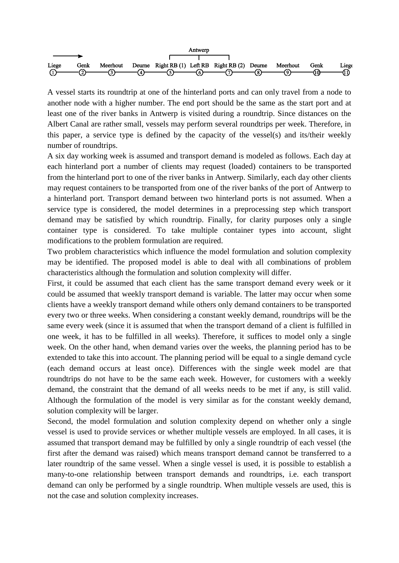

A vessel starts its roundtrip at one of the hinterland ports and can only travel from a node to another node with a higher number. The end port should be the same as the start port and at least one of the river banks in Antwerp is visited during a roundtrip. Since distances on the Albert Canal are rather small, vessels may perform several roundtrips per week. Therefore, in this paper, a service type is defined by the capacity of the vessel(s) and its/their weekly number of roundtrips.

A six day working week is assumed and transport demand is modeled as follows. Each day at each hinterland port a number of clients may request (loaded) containers to be transported from the hinterland port to one of the river banks in Antwerp. Similarly, each day other clients may request containers to be transported from one of the river banks of the port of Antwerp to a hinterland port. Transport demand between two hinterland ports is not assumed. When a service type is considered, the model determines in a preprocessing step which transport demand may be satisfied by which roundtrip. Finally, for clarity purposes only a single container type is considered. To take multiple container types into account, slight modifications to the problem formulation are required.

Two problem characteristics which influence the model formulation and solution complexity may be identified. The proposed model is able to deal with all combinations of problem characteristics although the formulation and solution complexity will differ.

First, it could be assumed that each client has the same transport demand every week or it could be assumed that weekly transport demand is variable. The latter may occur when some clients have a weekly transport demand while others only demand containers to be transported every two or three weeks. When considering a constant weekly demand, roundtrips will be the same every week (since it is assumed that when the transport demand of a client is fulfilled in one week, it has to be fulfilled in all weeks). Therefore, it suffices to model only a single week. On the other hand, when demand varies over the weeks, the planning period has to be extended to take this into account. The planning period will be equal to a single demand cycle (each demand occurs at least once). Differences with the single week model are that roundtrips do not have to be the same each week. However, for customers with a weekly demand, the constraint that the demand of all weeks needs to be met if any, is still valid. Although the formulation of the model is very similar as for the constant weekly demand, solution complexity will be larger.

Second, the model formulation and solution complexity depend on whether only a single vessel is used to provide services or whether multiple vessels are employed. In all cases, it is assumed that transport demand may be fulfilled by only a single roundtrip of each vessel (the first after the demand was raised) which means transport demand cannot be transferred to a later roundtrip of the same vessel. When a single vessel is used, it is possible to establish a many-to-one relationship between transport demands and roundtrips, i.e. each transport demand can only be performed by a single roundtrip. When multiple vessels are used, this is not the case and solution complexity increases.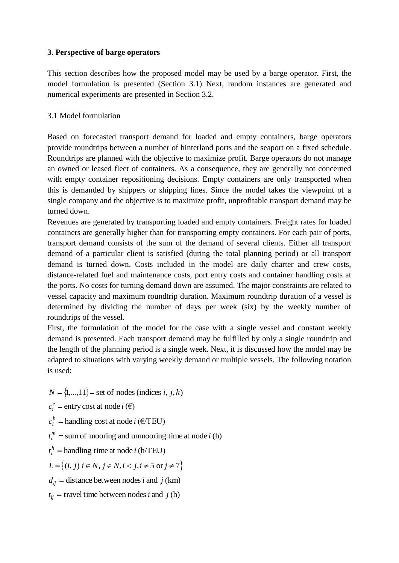# **3. Perspective of barge operators**

This section describes how the proposed model may be used by a barge operator. First, the model formulation is presented (Section 3.1) Next, random instances are generated and numerical experiments are presented in Section 3.2.

# 3.1 Model formulation

Based on forecasted transport demand for loaded and empty containers, barge operators provide roundtrips between a number of hinterland ports and the seaport on a fixed schedule. Roundtrips are planned with the objective to maximize profit. Barge operators do not manage an owned or leased fleet of containers. As a consequence, they are generally not concerned with empty container repositioning decisions. Empty containers are only transported when this is demanded by shippers or shipping lines. Since the model takes the viewpoint of a single company and the objective is to maximize profit, unprofitable transport demand may be turned down.

Revenues are generated by transporting loaded and empty containers. Freight rates for loaded containers are generally higher than for transporting empty containers. For each pair of ports, transport demand consists of the sum of the demand of several clients. Either all transport demand of a particular client is satisfied (during the total planning period) or all transport demand is turned down. Costs included in the model are daily charter and crew costs, distance-related fuel and maintenance costs, port entry costs and container handling costs at the ports. No costs for turning demand down are assumed. The major constraints are related to vessel capacity and maximum roundtrip duration. Maximum roundtrip duration of a vessel is determined by dividing the number of days per week (six) by the weekly number of roundtrips of the vessel.

First, the formulation of the model for the case with a single vessel and constant weekly demand is presented. Each transport demand may be fulfilled by only a single roundtrip and the length of the planning period is a single week. Next, it is discussed how the model may be adapted to situations with varying weekly demand or multiple vessels. The following notation is used:

 $N = \{1,...,11\}$  = set of nodes (indices *i*, *j*, *k*)

- $c_i^e$  = entry cost at node *i* ( $\epsilon$ )
- $c_i^h$  = handling cost at node *i* ( $\epsilon$ /TEU)

 $t_i^m$  = sum of mooring and unmooring time at node *i* (h)

- $t_i^h$  = handling time at node *i* (h/TEU)
- $L = \{(i, j) | i \in N, j \in N, i < j, i \neq 5 \text{ or } j \neq 7\}$
- $d_{ii}$  = distance between nodes *i* and *j* (km)
- $t_{ii}$  = travel time between nodes *i* and *j* (h)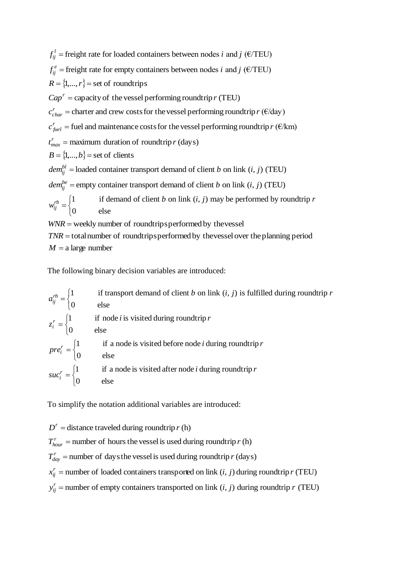$f_i^l$  = freight rate for loaded containers between nodes *i* and *j* ( $\epsilon$ /TEU)  $f_{ij}^l$  = freight rate for loaded containers between nodes *i* and *j*  $f_i^e$  = freight rate for empty containers between nodes *i* and *j* ( $E$ /TEU)  $f_{ij}^l$  = freight rate for loaded containers between nodes *i* and *j*<br> $f_{ij}^e$  = freight rate for empty containers between nodes *i* and *j*  $R = \{1, ..., r\}$  = set of roundtrips  $Cap<sup>r</sup>$  = capacity of the vessel performing roundtrip *r* (TEU)  $c_{char}^r$  = charter and crew costs for the vessel performing roundtrip  $r$  ( $\in$ /day)  $c_{\text{fuel}}^r$  = fuel and maintenance costs for the vessel performing roundtrip  $r$  ( $\in$ /km)  $t_{max}^r$  = maximum duration of roundtrip *r* (days)  $bF_{max} =$  maximum duration of roundtrip *r* (days)<br>  $B = \{1, ..., b\}$  = set of clients<br> *dem*<sup>bl</sup><sub>ij</sub> = loaded container transport demand of client *b* on link (*i*, *j*) (TEU)  $B = \{1, ..., b\}$  = set of clients<br> *dem*<sup>bl</sup><sub>ij</sub> = loaded container transport demand of client *b* on link (*i*, *j*) (TEU)<br> *dem*<sup>be</sup> = empty container transport demand of client *b* on link (*i*, *j*) (TEU) 1 if demand of client *b* on link  $(i, j)$  (TEU)<br>  $j =$  empty container transport demand of client *b* on link  $(i, j)$  (TEU)<br> *i* if demand of client *b* on link  $(i, j)$  may be performed by roundtrip *r* else *rb ij w*  $=\Big\{$  $\overline{\mathcal{L}}$  $WNR$  = weekly number of roundtripsperformed by the vessel *TNR* = total number of roundtripsperformed by the vessel over the planning period  $M = a$  large number

The following binary decision variables are introduced:

The following binary decision variables are introduced:  
\n
$$
a_{ij}^{rb} = \begin{cases} 1 & \text{if transport demand of client } b \text{ on link } (i, j) \text{ is fulfilled during roundtrip } r \\ 0 & \text{else} \end{cases}
$$
\n
$$
z_i^r = \begin{cases} 1 & \text{if node } i \text{ is visited during roundtrip } r \\ 0 & \text{else} \end{cases}
$$
\n
$$
pre_i^r = \begin{cases} 1 & \text{if a node is visited before node } i \text{ during roundtrip } r \\ 0 & \text{else} \end{cases}
$$
\n
$$
suc_i^r = \begin{cases} 1 & \text{if a node is visited after node } i \text{ during roundtrip } r \\ 0 & \text{else} \end{cases}
$$

To simplify the notation additional variables are introduced:

 $D^r$  = distance traveled during roundtrip *r* (h)  $T_{hour}^r$  = number of hours the vessel is used during roundtrip *r* (h)  $T_{day}^r$  = number of days the vessel is used during roundtrip *r* (days)  $x_{ij}^r$  = number of loaded containers transported on link  $(i, j)$  during roundtrip *r* (TEU)  $T_{day}^r$  = number of days the vessel is used during roundtrip *r* (days)<br>  $x_{ij}^r$  = number of loaded containers transported on link (*i*, *j*) during roundtrip *r* (TEU)<br> *y<sub>ij</sub>* = number of empty containers transported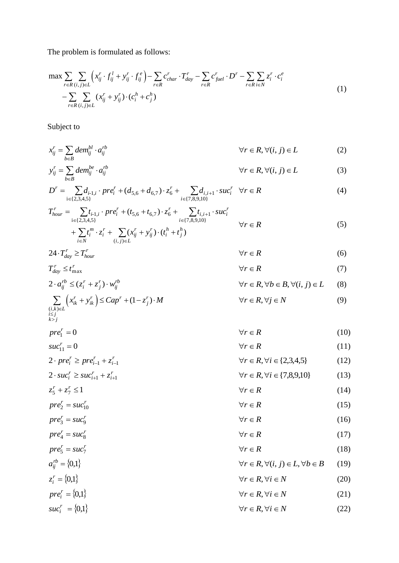The problem is formulated as follows:  
\n
$$
\max \sum_{r \in R} \sum_{(i,j)\in L} \left( x_{ij}^r \cdot f_{ij}^l + y_{ij}^r \cdot f_{ij}^e \right) - \sum_{r \in R} c_{char}^r \cdot T_{day}^r - \sum_{r \in R} c_{fuel}^r \cdot D^r - \sum_{r \in R} \sum_{i \in N} z_i^r \cdot c_i^e
$$
\n
$$
- \sum_{r \in R} \sum_{(i,j)\in L} (x_{ij}^r + y_{ij}^r) \cdot (c_i^h + c_j^h)
$$
\n(1)

Subject to

 $i = \{0,1\}$ 

$$
x_{ij}^r = \sum_{b \in B} \text{dem}_{ij}^{bl} \cdot a_{ij}^{rb} \qquad \forall r \in R, \forall (i, j) \in L
$$
 (2)

$$
y'_{ij} = \sum_{b \in B} \text{dem}_{ij}^{be} \cdot a_{ij}^{rb} \qquad \forall r \in R, \forall (i, j) \in L \tag{3}
$$

$$
D^r = \sum_{i \in \{2, 3, 4, 5\}} d_{i \text{-} 1, i} \cdot pre_i^r + (d_{5, 6} + d_{6, 7}) \cdot z_6^r + \sum_{i \in \{7, 8, 9, 10\}} d_{i, i+1} \cdot suc_i^r \quad \forall r \in R
$$
\n<sup>(4)</sup>

$$
T_{hour}^{r} = \sum_{i \in \{2,3,4,5\}} t_{i,1,i} \cdot pre_{i}^{r} + (t_{5,6} + t_{6,7}) \cdot z_{6}^{r} + \sum_{i \in \{7,8,9,10\}} t_{i,i+1} \cdot suc_{i}^{r}
$$
  
+ 
$$
\sum_{i \in \mathcal{N}} t_{i}^{m} \cdot z_{i}^{r} + \sum_{i \in \{3,5\}} (x_{ij}^{r} + y_{ij}^{r}) \cdot (t_{i}^{h} + t_{j}^{h})
$$
  
(5)

$$
\overline{i \in N} \qquad (i, \overline{j}) \in L \qquad (6)
$$
  
24  $\cdot T_{day}^r \geq T_{hour}^r$  (6)

$$
T_{day}^r \le t_{\text{max}}^r \qquad \forall r \in R \tag{7}
$$
\n
$$
T_{day}^r \le t_{\text{max}}^r \qquad \forall r \in R \qquad \forall h \in P, \forall h \in P, \forall i \quad i \in I \tag{8}
$$

$$
2 \cdot a_{ij}^{rb} \leq (z_i^r + z_j^r) \cdot w_{ij}^{rb}
$$
\n
$$
\forall r \in R, \forall b \in B, \forall (i, j) \in L \quad (8)
$$
\n
$$
\sum \left( x_{ik}^r + y_{ik}^r \right) \leq Cap^r + (1 - z_j^r) \cdot M
$$
\n
$$
\forall r \in R, \forall j \in N \quad (9)
$$

$$
\sum_{\substack{(i,k)\in L\\i\leq j\\k>j}} \left(x_{ik}^r + y_{ik}^r\right) \leq Cap^r + (1 - z_j^r) \cdot M \qquad \forall r \in R, \forall j \in N
$$
\n(9)

$$
pre_1^r = 0 \qquad \qquad \forall r \in R \tag{10}
$$

$$
suc_{11}^r = 0 \qquad \qquad \forall r \in R \tag{11}
$$

2. 
$$
pre_i^r \ge pre_{i-1}^r + z_{i-1}^r
$$
  
\n3.  $que_i^r \geq que_{i-1}^r + z_{i-1}^r$   
\n4.  $tr \in R, \forall i \in \{2,3,4,5\}$  (12)  
\n5.  $tre_i^r \geq 0$  (13) (13)

$$
2 \cdot suc_{i}^{r} \ge suc_{i+1}^{r} + z_{i+1}^{r}
$$
\n
$$
z_{5}^{r} + z_{7}^{r} \le 1
$$
\n
$$
2 \cdot suc_{i+1}^{r} + z_{i+1}^{r}
$$
\n
$$
2 \cdot \sqrt{r} \in R, \forall i \in \{7,8,9,10\}
$$
\n
$$
2 \cdot \sqrt{r} \in R
$$
\n
$$
(14)
$$

$$
pre_2^r = suc_{10}^r
$$
  
\n
$$
pre_3^r = suc_9^r
$$
  
\n
$$
\forall r \in R
$$
  
\n
$$
\forall r \in R
$$
  
\n
$$
\forall r \in R
$$
  
\n(15)

$$
pre_4^r = suc_8^r \qquad \qquad \forall r \in R \tag{17}
$$

$$
pre_5^r = suc_7^r \qquad \qquad \forall r \in R \tag{18}
$$

$$
a_{ij}^{rb} = \{0,1\} \qquad \qquad \forall r \in R, \forall (i,j) \in L, \forall b \in B \qquad (19)
$$

$$
z_i^r = \{0,1\} \qquad \qquad \forall r \in R, \forall i \in N \tag{20}
$$

$$
pre_i^r = \{0,1\} \qquad \qquad \forall r \in R, \forall i \in N \tag{21}
$$

$$
suc_i^r = \{0,1\} \qquad \qquad \forall r \in R, \forall i \in N \tag{22}
$$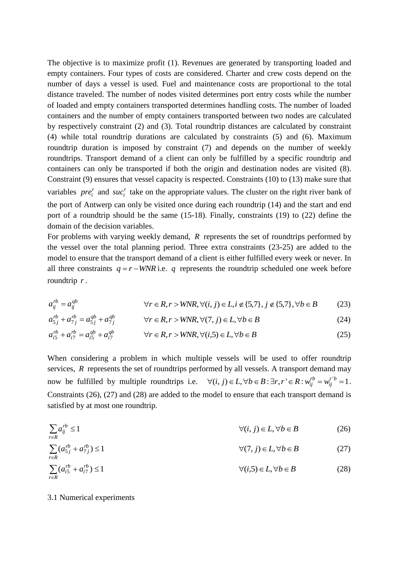The objective is to maximize profit (1). Revenues are generated by transporting loaded and empty containers. Four types of costs are considered. Charter and crew costs depend on the number of days a vessel is used. Fuel and maintenance costs are proportional to the total distance traveled. The number of nodes visited determines port entry costs while the number of loaded and empty containers transported determines handling costs. The number of loaded containers and the number of empty containers transported between two nodes are calculated by respectively constraint (2) and (3). Total roundtrip distances are calculated by constraint (4) while total roundtrip durations are calculated by constraints (5) and (6). Maximum roundtrip duration is imposed by constraint (7) and depends on the number of weekly roundtrips. Transport demand of a client can only be fulfilled by a specific roundtrip and containers can only be transported if both the origin and destination nodes are visited (8). Constraint (9) ensures that vessel capacity is respected. Constraints (10) to (13) make sure that variables  $pre_i^r$  and  $suc_i^r$  $suc_i^r$  take on the appropriate values. The cluster on the right river bank of the port of Antwerp can only be visited once during each roundtrip (14) and the start and end port of a roundtrip should be the same (15-18). Finally, constraints (19) to (22) define the domain of the decision variables.

For problems with varying weekly demand, R represents the set of roundtrips performed by the vessel over the total planning period. Three extra constraints (23-25) are added to the model to ensure that the transport demand of a client is either fulfilled every week or never. In all three constraints  $q = r - WNR$  i.e. q represents the roundtrip scheduled one week before roundtrip *r* .

$$
a_{ij}^{rb} = a_{ij}^{qb} \qquad \forall r \in R, r > WNR, \forall (i, j) \in L, i \notin \{5, 7\}, j \notin \{5, 7\}, \forall b \in B \tag{23}
$$

$$
a_{5j}^{rb} + a_{7j}^{rb} = a_{5j}^{qb} + a_{7j}^{qb} \qquad \forall r \in R, r > \text{WNR}, \forall (7, j) \in L, \forall b \in B
$$
\n
$$
(24)
$$

$$
a_{i5}^{rb} + a_{i7}^{rb} = a_{i5}^{qb} + a_{i7}^{qb} \qquad \forall r \in R, r > WNR, \forall (i, 5) \in L, \forall b \in B
$$
 (25)

When considering a problem in which multiple vessels will be used to offer roundtrip services, R represents the set of roundtrips performed by all vessels. A transport demand may now be fulfilled by multiple roundtrips i.e.  $\forall (i, j) \in L, \forall b \in B : \exists r, r' \in R : w_{ii}^{rb} = w_{ii}^{r'}$ fierting the small vessels. A transport demand may  $\forall (i, j) \in L, \forall b \in B : \exists r, r' \in R : w_{ij}^{r} = w_{ij}^{r} = 1.$ Constraints (26), (27) and (28) are added to the model to ensure that each transport demand is satisfied by at most one roundtrip.

$$
\sum_{r \in R} a_{ij}^{rb} \le 1 \qquad \qquad \forall (i, j) \in L, \forall b \in B \tag{26}
$$

$$
\sum_{r \in R} (a_{5j}^{rb} + a_{7j}^{rb}) \le 1 \qquad \forall (7, j) \in L, \forall b \in B \tag{27}
$$

$$
\sum_{r \in R} (a_{i5}^{rb} + a_{i7}^{rb}) \le 1 \qquad \qquad \forall (i, 5) \in L, \forall b \in B \tag{28}
$$

3.1 Numerical experiments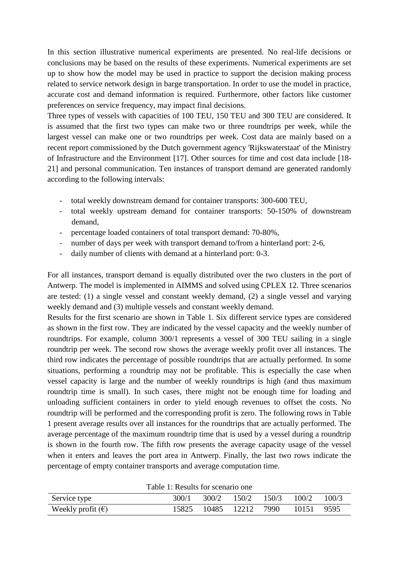In this section illustrative numerical experiments are presented. No real-life decisions or conclusions may be based on the results of these experiments. Numerical experiments are set up to show how the model may be used in practice to support the decision making process related to service network design in barge transportation. In order to use the model in practice, accurate cost and demand information is required. Furthermore, other factors like customer preferences on service frequency, may impact final decisions.

Three types of vessels with capacities of 100 TEU, 150 TEU and 300 TEU are considered. It is assumed that the first two types can make two or three roundtrips per week, while the largest vessel can make one or two roundtrips per week. Cost data are mainly based on a recent report commissioned by the Dutch government agency 'Rijkswaterstaat' of the Ministry of Infrastructure and the Environment [17]. Other sources for time and cost data include [18- 21] and personal communication. Ten instances of transport demand are generated randomly according to the following intervals:

- total weekly downstream demand for container transports: 300-600 TEU,
- total weekly upstream demand for container transports: 50-150% of downstream demand,
- percentage loaded containers of total transport demand: 70-80%,
- number of days per week with transport demand to/from a hinterland port: 2-6,
- daily number of clients with demand at a hinterland port: 0-3.

For all instances, transport demand is equally distributed over the two clusters in the port of Antwerp. The model is implemented in AIMMS and solved using CPLEX 12. Three scenarios are tested: (1) a single vessel and constant weekly demand, (2) a single vessel and varying weekly demand and (3) multiple vessels and constant weekly demand.

Results for the first scenario are shown in Table 1. Six different service types are considered as shown in the first row. They are indicated by the vessel capacity and the weekly number of roundtrips. For example, column 300/1 represents a vessel of 300 TEU sailing in a single roundtrip per week. The second row shows the average weekly profit over all instances. The third row indicates the percentage of possible roundtrips that are actually performed. In some situations, performing a roundtrip may not be profitable. This is especially the case when vessel capacity is large and the number of weekly roundtrips is high (and thus maximum roundtrip time is small). In such cases, there might not be enough time for loading and unloading sufficient containers in order to yield enough revenues to offset the costs. No roundtrip will be performed and the corresponding profit is zero. The following rows in Table 1 present average results over all instances for the roundtrips that are actually performed. The average percentage of the maximum roundtrip time that is used by a vessel during a roundtrip is shown in the fourth row. The fifth row presents the average capacity usage of the vessel when it enters and leaves the port area in Antwerp. Finally, the last two rows indicate the percentage of empty container transports and average computation time.

| Table 1: Results for scenario one |       |  |                   |  |                                   |       |  |
|-----------------------------------|-------|--|-------------------|--|-----------------------------------|-------|--|
| Service type                      | 300/1 |  | 300/2 150/2 150/3 |  | 100/2                             | 100/3 |  |
| Weekly profit $(\epsilon)$        |       |  |                   |  | 15825 10485 12212 7990 10151 9595 |       |  |

Table 1: Results for scenario one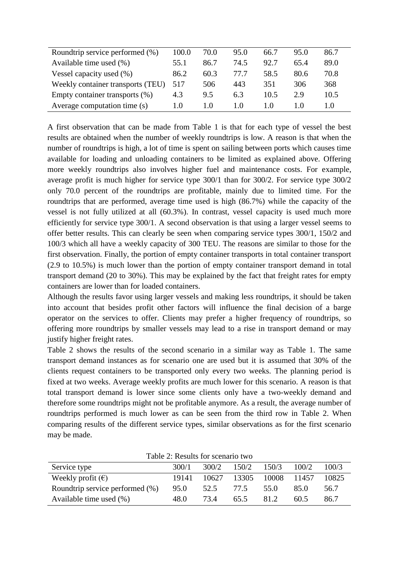| Roundtrip service performed (%)   | 100.0 | 70.0                     | 95.0 | 66.7 | 95.0 | 86.7 |
|-----------------------------------|-------|--------------------------|------|------|------|------|
| Available time used $(\% )$       | 55.1  | 86.7                     | 74.5 | 92.7 | 65.4 | 89.0 |
| Vessel capacity used (%)          | 86.2  | 60.3                     | 77.7 | 58.5 | 80.6 | 70.8 |
| Weekly container transports (TEU) | 517   | 506                      | 443  | 351  | 306  | 368  |
| Empty container transports (%)    | 4.3   | 9.5                      | 6.3  | 10.5 | 2.9  | 10.5 |
| Average computation time (s)      | 1.0   | $\mathsf{L}(\mathsf{I})$ | 1.0  | 1.O  |      | 1.0  |

A first observation that can be made from Table 1 is that for each type of vessel the best results are obtained when the number of weekly roundtrips is low. A reason is that when the number of roundtrips is high, a lot of time is spent on sailing between ports which causes time available for loading and unloading containers to be limited as explained above. Offering more weekly roundtrips also involves higher fuel and maintenance costs. For example, average profit is much higher for service type 300/1 than for 300/2. For service type 300/2 only 70.0 percent of the roundtrips are profitable, mainly due to limited time. For the roundtrips that are performed, average time used is high (86.7%) while the capacity of the vessel is not fully utilized at all (60.3%). In contrast, vessel capacity is used much more efficiently for service type 300/1. A second observation is that using a larger vessel seems to offer better results. This can clearly be seen when comparing service types 300/1, 150/2 and 100/3 which all have a weekly capacity of 300 TEU. The reasons are similar to those for the first observation. Finally, the portion of empty container transports in total container transport (2.9 to 10.5%) is much lower than the portion of empty container transport demand in total transport demand (20 to 30%). This may be explained by the fact that freight rates for empty containers are lower than for loaded containers.

Although the results favor using larger vessels and making less roundtrips, it should be taken into account that besides profit other factors will influence the final decision of a barge operator on the services to offer. Clients may prefer a higher frequency of roundtrips, so offering more roundtrips by smaller vessels may lead to a rise in transport demand or may justify higher freight rates.

Table 2 shows the results of the second scenario in a similar way as Table 1. The same transport demand instances as for scenario one are used but it is assumed that 30% of the clients request containers to be transported only every two weeks. The planning period is fixed at two weeks. Average weekly profits are much lower for this scenario. A reason is that total transport demand is lower since some clients only have a two-weekly demand and therefore some roundtrips might not be profitable anymore. As a result, the average number of roundtrips performed is much lower as can be seen from the third row in Table 2. When comparing results of the different service types, similar observations as for the first scenario may be made.

| Table 2: Results for scenario two |       |       |       |       |       |       |  |
|-----------------------------------|-------|-------|-------|-------|-------|-------|--|
| Service type                      | 300/1 | 300/2 | 150/2 | 150/3 | 100/2 | 100/3 |  |
| Weekly profit $(\epsilon)$        | 19141 | 10627 | 13305 | 10008 | 11457 | 10825 |  |
| Roundtrip service performed (%)   | 95.0  | 52.5  | 77.5  | 55.0  | 85.0  | 56.7  |  |
| Available time used $(\% )$       | 48.0  | 73.4  | 65.5  | 81.2  | 60.5  | 86.7  |  |

Table 2: Results for scenario two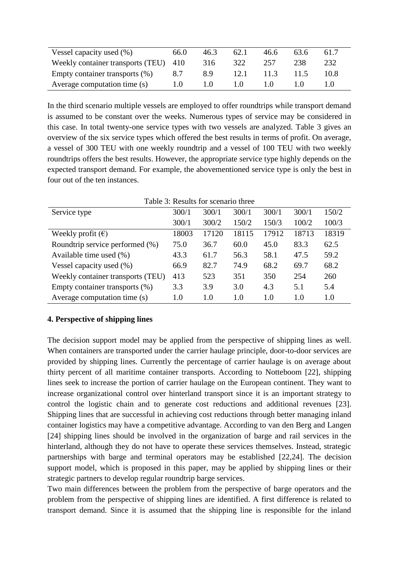| Vessel capacity used $(\% )$          | 66.0 | 46.3 | 62.1   | 46.6 | 63.6 | 61.7 |
|---------------------------------------|------|------|--------|------|------|------|
| Weekly container transports (TEU) 410 |      | 316  | 322    |      | 238  | 232  |
| Empty container transports (%)        | 8.7  | 8.9  | 12.1   | 113  |      | 10.8 |
| Average computation time (s)          | L.O  | LO.  | $\cup$ |      |      |      |

In the third scenario multiple vessels are employed to offer roundtrips while transport demand is assumed to be constant over the weeks. Numerous types of service may be considered in this case. In total twenty-one service types with two vessels are analyzed. Table 3 gives an overview of the six service types which offered the best results in terms of profit. On average, a vessel of 300 TEU with one weekly roundtrip and a vessel of 100 TEU with two weekly roundtrips offers the best results. However, the appropriate service type highly depends on the expected transport demand. For example, the abovementioned service type is only the best in four out of the ten instances.

| Table 3: Results for scenario three |       |       |       |       |       |       |  |  |
|-------------------------------------|-------|-------|-------|-------|-------|-------|--|--|
| Service type                        | 300/1 | 300/1 | 300/1 | 300/1 | 300/1 | 150/2 |  |  |
|                                     | 300/1 | 300/2 | 150/2 | 150/3 | 100/2 | 100/3 |  |  |
| Weekly profit $(\epsilon)$          | 18003 | 17120 | 18115 | 17912 | 18713 | 18319 |  |  |
| Roundtrip service performed (%)     | 75.0  | 36.7  | 60.0  | 45.0  | 83.3  | 62.5  |  |  |
| Available time used $(\% )$         | 43.3  | 61.7  | 56.3  | 58.1  | 47.5  | 59.2  |  |  |
| Vessel capacity used (%)            | 66.9  | 82.7  | 74.9  | 68.2  | 69.7  | 68.2  |  |  |
| Weekly container transports (TEU)   | 413   | 523   | 351   | 350   | 254   | 260   |  |  |
| Empty container transports (%)      | 3.3   | 3.9   | 3.0   | 4.3   | 5.1   | 5.4   |  |  |
| Average computation time (s)        | 1.0   | 1.0   | 1.0   | 1.0   | 1.0   | 1.0   |  |  |

# **4. Perspective of shipping lines**

The decision support model may be applied from the perspective of shipping lines as well. When containers are transported under the carrier haulage principle, door-to-door services are provided by shipping lines. Currently the percentage of carrier haulage is on average about thirty percent of all maritime container transports. According to Notteboom [22], shipping lines seek to increase the portion of carrier haulage on the European continent. They want to increase organizational control over hinterland transport since it is an important strategy to control the logistic chain and to generate cost reductions and additional revenues [23]. Shipping lines that are successful in achieving cost reductions through better managing inland container logistics may have a competitive advantage. According to van den Berg and Langen [24] shipping lines should be involved in the organization of barge and rail services in the hinterland, although they do not have to operate these services themselves. Instead, strategic partnerships with barge and terminal operators may be established [22,24]. The decision support model, which is proposed in this paper, may be applied by shipping lines or their strategic partners to develop regular roundtrip barge services.

Two main differences between the problem from the perspective of barge operators and the problem from the perspective of shipping lines are identified. A first difference is related to transport demand. Since it is assumed that the shipping line is responsible for the inland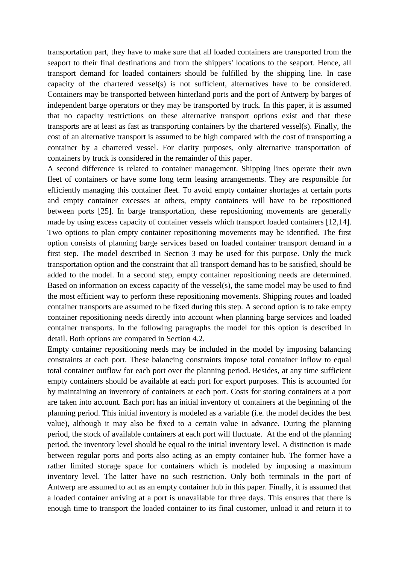transportation part, they have to make sure that all loaded containers are transported from the seaport to their final destinations and from the shippers' locations to the seaport. Hence, all transport demand for loaded containers should be fulfilled by the shipping line. In case capacity of the chartered vessel(s) is not sufficient, alternatives have to be considered. Containers may be transported between hinterland ports and the port of Antwerp by barges of independent barge operators or they may be transported by truck. In this paper, it is assumed that no capacity restrictions on these alternative transport options exist and that these transports are at least as fast as transporting containers by the chartered vessel(s). Finally, the cost of an alternative transport is assumed to be high compared with the cost of transporting a container by a chartered vessel. For clarity purposes, only alternative transportation of containers by truck is considered in the remainder of this paper.

A second difference is related to container management. Shipping lines operate their own fleet of containers or have some long term leasing arrangements. They are responsible for efficiently managing this container fleet. To avoid empty container shortages at certain ports and empty container excesses at others, empty containers will have to be repositioned between ports [25]. In barge transportation, these repositioning movements are generally made by using excess capacity of container vessels which transport loaded containers [12,14]. Two options to plan empty container repositioning movements may be identified. The first option consists of planning barge services based on loaded container transport demand in a first step. The model described in Section 3 may be used for this purpose. Only the truck transportation option and the constraint that all transport demand has to be satisfied, should be added to the model. In a second step, empty container repositioning needs are determined. Based on information on excess capacity of the vessel(s), the same model may be used to find the most efficient way to perform these repositioning movements. Shipping routes and loaded container transports are assumed to be fixed during this step. A second option is to take empty container repositioning needs directly into account when planning barge services and loaded container transports. In the following paragraphs the model for this option is described in detail. Both options are compared in Section 4.2.

Empty container repositioning needs may be included in the model by imposing balancing constraints at each port. These balancing constraints impose total container inflow to equal total container outflow for each port over the planning period. Besides, at any time sufficient empty containers should be available at each port for export purposes. This is accounted for by maintaining an inventory of containers at each port. Costs for storing containers at a port are taken into account. Each port has an initial inventory of containers at the beginning of the planning period. This initial inventory is modeled as a variable (i.e. the model decides the best value), although it may also be fixed to a certain value in advance. During the planning period, the stock of available containers at each port will fluctuate. At the end of the planning period, the inventory level should be equal to the initial inventory level. A distinction is made between regular ports and ports also acting as an empty container hub. The former have a rather limited storage space for containers which is modeled by imposing a maximum inventory level. The latter have no such restriction. Only both terminals in the port of Antwerp are assumed to act as an empty container hub in this paper. Finally, it is assumed that a loaded container arriving at a port is unavailable for three days. This ensures that there is enough time to transport the loaded container to its final customer, unload it and return it to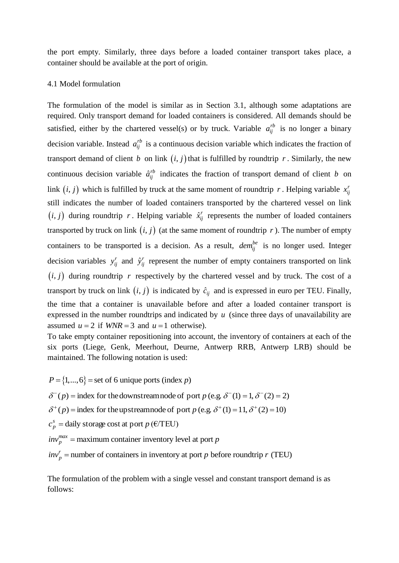the port empty. Similarly, three days before a loaded container transport takes place, a container should be available at the port of origin.

#### 4.1 Model formulation

The formulation of the model is similar as in Section 3.1, although some adaptations are required. Only transport demand for loaded containers is considered. All demands should be satisfied, either by the chartered vessel(s) or by truck. Variable  $a_{ij}^{rb}$  is no longer a binary decision variable. Instead  $a_{ij}^{rb}$  is a continuous decision variable which indicates the fraction of transport demand of client *b* on link  $(i, j)$  that is fulfilled by roundtrip *r*. Similarly, the new continuous decision variable  $\hat{a}_{ij}^{rb}$  indicates the fraction of transport demand of client *b* on link  $(i, j)$  which is fulfilled by truck at the same moment of roundtrip r. Helping variable  $x_{ij}^r$ still indicates the number of loaded containers transported by the chartered vessel on link  $(i, j)$  during roundtrip r. Helping variable  $\hat{x}_{ij}^r$  represents the number of loaded containers transported by truck on link  $(i, j)$  (at the same moment of roundtrip r). The number of empty containers to be transported is a decision. As a result,  $dem_{ij}^{be}$  is no longer used. Integer decision variables  $y_{ij}^r$  and  $\hat{y}_{ij}^r$  represent the number of empty containers transported on link  $(i, j)$  during roundtrip r respectively by the chartered vessel and by truck. The cost of a transport by truck on link  $(i, j)$  is indicated by  $\hat{c}_{ij}$  and is expressed in euro per TEU. Finally, the time that a container is unavailable before and after a loaded container transport is expressed in the number roundtrips and indicated by  $u$  (since three days of unavailability are assumed  $u = 2$  if  $WNR = 3$  and  $u = 1$  otherwise).

To take empty container repositioning into account, the inventory of containers at each of the six ports (Liege, Genk, Meerhout, Deurne, Antwerp RRB, Antwerp LRB) should be maintained. The following notation is used:

 $P = \{1, ..., 6\}$  = set of 6 unique ports (index *p*)  $\delta^-(p)$  = index for the downstream node of port p (e.g.  $\delta^-(1) = 1, \delta^-(2) = 2$ )  $\delta^{+}(p)$  = index for the upstreamnode of port p (e.g.  $\delta^{+}(1) = 11, \delta^{+}(2) = 10$ )  $c_p^s$  = daily storage cost at port  $p$  ( $\epsilon$ /TEU)  $c_p^s$  = daily storage cost at port *p* ( $\epsilon$ /TEU)<br> *inv*<sup>*max*</sup></sup> = maximum container inventory level at port *p*  $c_p^*$  = daily storage cost at port  $p$  ( $\in$ /1EU)<br> *inv*<sup>*nax*</sup></sup> = maximum container inventory level at port *p*<br> *inv*<sup>*p*</sup></sup> = number of containers in inventory at port *p* before roundtrip *r* (TEU)

The formulation of the problem with a single vessel and constant transport demand is as follows: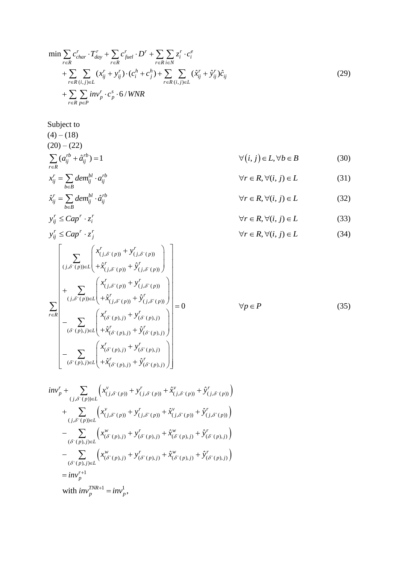$$
\min \sum_{r \in R} c_{char}^r \cdot T_{day}^r + \sum_{r \in R} c_{fuel}^r \cdot D^r + \sum_{r \in R} \sum_{i \in N} z_i^r \cdot c_i^e
$$
  
+ 
$$
\sum_{r \in R} \sum_{(i,j) \in L} (x_{ij}^r + y_{ij}^r) \cdot (c_i^h + c_j^h) + \sum_{r \in R} \sum_{(i,j) \in L} (\hat{x}_{ij}^r + \hat{y}_{ij}^r) \hat{c}_{ij}
$$
  
+ 
$$
\sum_{r \in R} \sum_{p \in P} inv_p^r \cdot c_p^s \cdot 6 / WNR
$$
 (29)

Subject to

$$
(4) - (18) \n(20) - (22) \n\sum_{r \in R} (a_{ij}^{rb} + \hat{a}_{ij}^{rb}) = 1
$$
\n
$$
\forall (i, j) \in L, \forall b \in B
$$
\n(30)

$$
x_{ij}^r = \sum_{b \in B} \text{dem}_{ij}^{bl} \cdot a_{ij}^{rb} \qquad \forall r \in R, \forall (i, j) \in L \qquad (31)
$$
  

$$
\hat{x}_{ij}^r = \sum \text{dem}_{ij}^{bl} \cdot \hat{a}_{ij}^{rb} \qquad \forall r \in R, \forall (i, j) \in L \qquad (32)
$$

$$
y_{ij}^r \le Cap^r \cdot z_i^r \qquad \forall r \in R, \forall (i, j) \in L \qquad (33)
$$
  

$$
y_{ij}^r \le Cap^r \cdot z_i^r \qquad \forall r \in R, \forall (i, j) \in L \qquad (34)
$$

 $\forall r \in R, \forall (i, j) \in L$ 

*rj*  $r \geq C_{\alpha} r^r$  $y_{ij}^r \leq Cap^r \cdot z$ 

E.

$$
y_{ij} \le Cap' \cdot z_j \qquad \forall r \in R, \forall (i, j) \in L
$$
\n
$$
\left[\sum_{(j,\delta^-(p))\in L} \left( \begin{array}{c} x_{(j,\delta^-(p))}^r + y_{(j,\delta^-(p))}^r \\ + \hat{x}_{(j,\delta^+(p))}^r + \hat{y}_{(j,\delta^+(p))}^r \end{array} \right) \right]
$$
\n
$$
+ \sum_{(j,\delta^+(p))\in L} \left( \begin{array}{c} x_{(j,\delta^+(p))}^r + y_{(j,\delta^+(p))}^r \\ + \hat{x}_{(j,\delta^+(p))}^r + \hat{y}_{(j,\delta^+(p))}^r \end{array} \right)
$$
\n
$$
= 0 \qquad \forall p \in P
$$
\n
$$
\left[\sum_{(\delta^-(p),j)\in L} \left( \begin{array}{c} x_{(\delta^-(p),j)}^r + y_{(\delta^-(p),j)}^r \\ + \hat{x}_{(\delta^-(p),j)}^r + \hat{y}_{(\delta^-(p),j)}^r \end{array} \right) \right]
$$
\n
$$
= \sum_{(\delta^+(p),j)\in L} \left( \begin{array}{c} x_{(\delta^+(p),j)}^r + y_{(\delta^+(p),j)}^r \\ + \hat{x}_{(\delta^+(p),j)}^r + \hat{y}_{(\delta^+(p),j)}^r \end{array} \right)
$$
\n(35)

$$
inv_p^r + \sum_{(j,\delta^-(p))\in L} \left( x_{(j,\delta^-(p))}^v + y_{(j,\delta^-(p))}^r + \hat{x}_{(j,\delta^-(p))}^v + \hat{y}_{(j,\delta^-(p))}^r \right) + \sum_{(j,\delta^+(p))\in L} \left( x_{(j,\delta^+(p))}^v + y_{(j,\delta^+(p))}^r + \hat{x}_{(j,\delta^+(p))}^v + \hat{y}_{(j,\delta^+(p))}^r \right) - \sum_{(\delta^-(p),j)\in L} \left( x_{(\delta^-(p),j)}^w + y_{(\delta^-(p),j)}^r + \hat{x}_{(\delta^-(p),j)}^w + \hat{y}_{(\delta^-(p),j)}^r \right) - \sum_{(\delta^+(p),j)\in L} \left( x_{(\delta^+(p),j)}^w + y_{(\delta^+(p),j)}^r + \hat{x}_{(\delta^+(p),j)}^w + \hat{y}_{(\delta^+(p),j)}^r \right) = inv_p^{r+1} \nwith inv_p^{TNR+1} = inv_p^1,
$$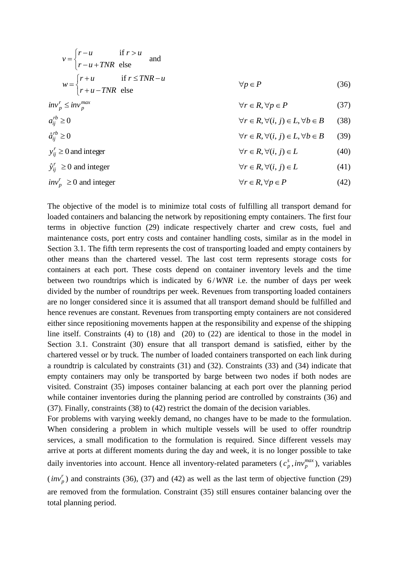| $v = \begin{cases} r - u & \text{if } r > u \\ r - u + TNR & \text{else} \end{cases}$ and      |                                                          |      |
|------------------------------------------------------------------------------------------------|----------------------------------------------------------|------|
| $w = \begin{cases} r + u & \text{if } r \leq TNR - u \\ r + u - TNR & \text{else} \end{cases}$ | $\forall p \in P$                                        | (36) |
| $inv_p^r \le inv_p^{max}$                                                                      | $\forall r \in R, \forall p \in P$                       | (37) |
| $a_{ij}^{rb} \geq 0$                                                                           | $\forall r \in R, \forall (i, j) \in L, \forall b \in B$ | (38) |
| $\hat{a}_{ii}^{rb} \geq 0$                                                                     | $\forall r \in R, \forall (i, j) \in L, \forall b \in B$ | (39) |
| $y''_{ii} \geq 0$ and integer                                                                  | $\forall r \in R, \forall (i, j) \in L$                  | (40) |
| $\hat{y}_{ii}^r \ge 0$ and integer                                                             | $\forall r \in R, \forall (i, j) \in L$                  | (41) |
| $inv_p^r \geq 0$ and integer                                                                   | $\forall r \in R, \forall p \in P$                       | (42) |

The objective of the model is to minimize total costs of fulfilling all transport demand for loaded containers and balancing the network by repositioning empty containers. The first four terms in objective function (29) indicate respectively charter and crew costs, fuel and maintenance costs, port entry costs and container handling costs, similar as in the model in Section 3.1. The fifth term represents the cost of transporting loaded and empty containers by other means than the chartered vessel. The last cost term represents storage costs for containers at each port. These costs depend on container inventory levels and the time between two roundtrips which is indicated by 6/*WNR* i.e. the number of days per week divided by the number of roundtrips per week. Revenues from transporting loaded containers are no longer considered since it is assumed that all transport demand should be fulfilled and hence revenues are constant. Revenues from transporting empty containers are not considered either since repositioning movements happen at the responsibility and expense of the shipping line itself. Constraints (4) to (18) and (20) to (22) are identical to those in the model in Section 3.1. Constraint (30) ensure that all transport demand is satisfied, either by the chartered vessel or by truck. The number of loaded containers transported on each link during a roundtrip is calculated by constraints (31) and (32). Constraints (33) and (34) indicate that empty containers may only be transported by barge between two nodes if both nodes are visited. Constraint (35) imposes container balancing at each port over the planning period while container inventories during the planning period are controlled by constraints (36) and (37). Finally, constraints (38) to (42) restrict the domain of the decision variables.

For problems with varying weekly demand, no changes have to be made to the formulation. When considering a problem in which multiple vessels will be used to offer roundtrip services, a small modification to the formulation is required. Since different vessels may arrive at ports at different moments during the day and week, it is no longer possible to take daily inventories into account. Hence all inventory-related parameters ( $c<sub>r</sub>$ <sup>\*</sup>)  $c_p^s$ ,  $inv_p^{max}$  $inv_p^{max}$ ), variables

 $\left(\textit{inv}\right)_{r}^{r}$  $inv_p^r$ ) and constraints (36), (37) and (42) as well as the last term of objective function (29) are removed from the formulation. Constraint (35) still ensures container balancing over the total planning period.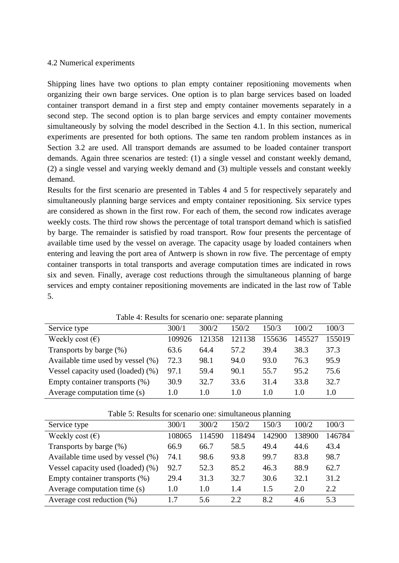### 4.2 Numerical experiments

Shipping lines have two options to plan empty container repositioning movements when organizing their own barge services. One option is to plan barge services based on loaded container transport demand in a first step and empty container movements separately in a second step. The second option is to plan barge services and empty container movements simultaneously by solving the model described in the Section 4.1. In this section, numerical experiments are presented for both options. The same ten random problem instances as in Section 3.2 are used. All transport demands are assumed to be loaded container transport demands. Again three scenarios are tested: (1) a single vessel and constant weekly demand, (2) a single vessel and varying weekly demand and (3) multiple vessels and constant weekly demand.

Results for the first scenario are presented in Tables 4 and 5 for respectively separately and simultaneously planning barge services and empty container repositioning. Six service types are considered as shown in the first row. For each of them, the second row indicates average weekly costs. The third row shows the percentage of total transport demand which is satisfied by barge. The remainder is satisfied by road transport. Row four presents the percentage of available time used by the vessel on average. The capacity usage by loaded containers when entering and leaving the port area of Antwerp is shown in row five. The percentage of empty container transports in total transports and average computation times are indicated in rows six and seven. Finally, average cost reductions through the simultaneous planning of barge services and empty container repositioning movements are indicated in the last row of Table 5.

| Service type                      | 300/1  | 300/2  | 150/2  | 150/3  | 100/2  | 100/3  |
|-----------------------------------|--------|--------|--------|--------|--------|--------|
| Weekly cost $(\epsilon)$          | 109926 | 121358 | 121138 | 155636 | 145527 | 155019 |
| Transports by barge (%)           | 63.6   | 64.4   | 57.2   | 39.4   | 38.3   | 37.3   |
| Available time used by vessel (%) | 72.3   | 98.1   | 94.0   | 93.0   | 76.3   | 95.9   |
| Vessel capacity used (loaded) (%) | 97.1   | 59.4   | 90.1   | 55.7   | 95.2   | 75.6   |
| Empty container transports (%)    | 30.9   | 32.7   | 33.6   | 31.4   | 33.8   | 32.7   |
| Average computation time (s)      | 1.0    | 1.0    | 1.0    | 1.0    | 1.0    | 1.0    |

Table 4: Results for scenario one: separate planning

Table 5: Results for scenario one: simultaneous planning

| Service type                      | 300/1  | 300/2  | 150/2  | 150/3  | 100/2  | 100/3  |
|-----------------------------------|--------|--------|--------|--------|--------|--------|
| Weekly cost $(\epsilon)$          | 108065 | 114590 | 118494 | 142900 | 138900 | 146784 |
| Transports by barge (%)           | 66.9   | 66.7   | 58.5   | 49.4   | 44.6   | 43.4   |
| Available time used by vessel (%) | 74.1   | 98.6   | 93.8   | 99.7   | 83.8   | 98.7   |
| Vessel capacity used (loaded) (%) | 92.7   | 52.3   | 85.2   | 46.3   | 88.9   | 62.7   |
| Empty container transports (%)    | 29.4   | 31.3   | 32.7   | 30.6   | 32.1   | 31.2   |
| Average computation time (s)      | 1.0    | 1.0    | 1.4    | 1.5    | 2.0    | 2.2    |
| Average cost reduction $(\%)$     | 17     | 5.6    | 2.2    | 8.2    | 4.6    | 5.3    |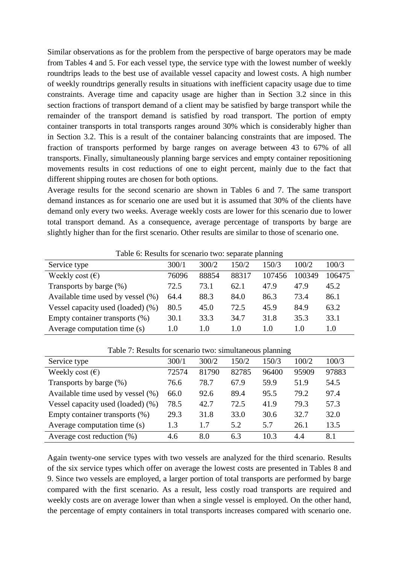Similar observations as for the problem from the perspective of barge operators may be made from Tables 4 and 5. For each vessel type, the service type with the lowest number of weekly roundtrips leads to the best use of available vessel capacity and lowest costs. A high number of weekly roundtrips generally results in situations with inefficient capacity usage due to time constraints. Average time and capacity usage are higher than in Section 3.2 since in this section fractions of transport demand of a client may be satisfied by barge transport while the remainder of the transport demand is satisfied by road transport. The portion of empty container transports in total transports ranges around 30% which is considerably higher than in Section 3.2. This is a result of the container balancing constraints that are imposed. The fraction of transports performed by barge ranges on average between 43 to 67% of all transports. Finally, simultaneously planning barge services and empty container repositioning movements results in cost reductions of one to eight percent, mainly due to the fact that different shipping routes are chosen for both options.

Average results for the second scenario are shown in Tables 6 and 7. The same transport demand instances as for scenario one are used but it is assumed that 30% of the clients have demand only every two weeks. Average weekly costs are lower for this scenario due to lower total transport demand. As a consequence, average percentage of transports by barge are slightly higher than for the first scenario. Other results are similar to those of scenario one.

| Tuble of Incounts for Section to two: Separate promining |       |       |       |        |        |        |  |
|----------------------------------------------------------|-------|-------|-------|--------|--------|--------|--|
| Service type                                             | 300/1 | 300/2 | 150/2 | 150/3  | 100/2  | 100/3  |  |
| Weekly cost $(\epsilon)$                                 | 76096 | 88854 | 88317 | 107456 | 100349 | 106475 |  |
| Transports by barge (%)                                  | 72.5  | 73.1  | 62.1  | 47.9   | 47.9   | 45.2   |  |
| Available time used by vessel (%)                        | 64.4  | 88.3  | 84.0  | 86.3   | 73.4   | 86.1   |  |
| Vessel capacity used (loaded) (%)                        | 80.5  | 45.0  | 72.5  | 45.9   | 84.9   | 63.2   |  |
| Empty container transports (%)                           | 30.1  | 33.3  | 34.7  | 31.8   | 35.3   | 33.1   |  |
| Average computation time (s)                             | 1.0   | 1.0   | 1.0   | 1.0    | 1.0    | 1.0    |  |

Table 6: Results for scenario two: separate planning

| Service type                      | 300/1 | 300/2 | 150/2 | 150/3 | 100/2 | 100/3 |
|-----------------------------------|-------|-------|-------|-------|-------|-------|
| Weekly cost $(\epsilon)$          | 72574 | 81790 | 82785 | 96400 | 95909 | 97883 |
| Transports by barge (%)           | 76.6  | 78.7  | 67.9  | 59.9  | 51.9  | 54.5  |
| Available time used by vessel (%) | 66.0  | 92.6  | 89.4  | 95.5  | 79.2  | 97.4  |
| Vessel capacity used (loaded) (%) | 78.5  | 42.7  | 72.5  | 41.9  | 79.3  | 57.3  |
| Empty container transports (%)    | 29.3  | 31.8  | 33.0  | 30.6  | 32.7  | 32.0  |
| Average computation time (s)      | 1.3   | 1.7   | 5.2   | 5.7   | 26.1  | 13.5  |
| Average cost reduction $(\%)$     | 4.6   | 8.0   | 6.3   | 10.3  | 4.4   | 8.1   |

Table 7: Results for scenario two: simultaneous planning

Again twenty-one service types with two vessels are analyzed for the third scenario. Results of the six service types which offer on average the lowest costs are presented in Tables 8 and 9. Since two vessels are employed, a larger portion of total transports are performed by barge compared with the first scenario. As a result, less costly road transports are required and weekly costs are on average lower than when a single vessel is employed. On the other hand, the percentage of empty containers in total transports increases compared with scenario one.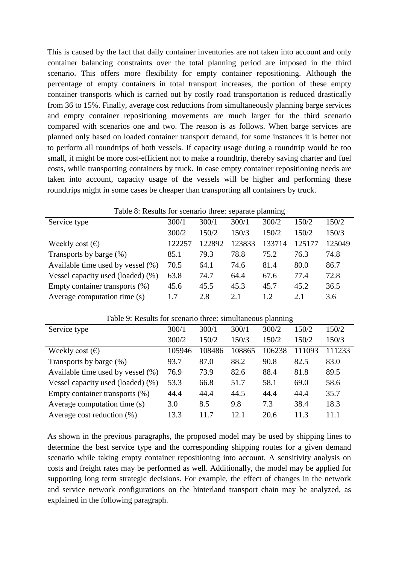This is caused by the fact that daily container inventories are not taken into account and only container balancing constraints over the total planning period are imposed in the third scenario. This offers more flexibility for empty container repositioning. Although the percentage of empty containers in total transport increases, the portion of these empty container transports which is carried out by costly road transportation is reduced drastically from 36 to 15%. Finally, average cost reductions from simultaneously planning barge services and empty container repositioning movements are much larger for the third scenario compared with scenarios one and two. The reason is as follows. When barge services are planned only based on loaded container transport demand, for some instances it is better not to perform all roundtrips of both vessels. If capacity usage during a roundtrip would be too small, it might be more cost-efficient not to make a roundtrip, thereby saving charter and fuel costs, while transporting containers by truck. In case empty container repositioning needs are taken into account, capacity usage of the vessels will be higher and performing these roundtrips might in some cases be cheaper than transporting all containers by truck.

| Table 8: Results for scenario three: separate planning |        |        |        |        |        |        |  |  |
|--------------------------------------------------------|--------|--------|--------|--------|--------|--------|--|--|
| Service type                                           | 300/1  | 300/1  | 300/1  | 300/2  | 150/2  | 150/2  |  |  |
|                                                        | 300/2  | 150/2  | 150/3  | 150/2  | 150/2  | 150/3  |  |  |
| Weekly cost $(\epsilon)$                               | 122257 | 122892 | 123833 | 133714 | 125177 | 125049 |  |  |
| Transports by barge (%)                                | 85.1   | 79.3   | 78.8   | 75.2   | 76.3   | 74.8   |  |  |
| Available time used by vessel (%)                      | 70.5   | 64.1   | 74.6   | 81.4   | 80.0   | 86.7   |  |  |
| Vessel capacity used (loaded) (%)                      | 63.8   | 74.7   | 64.4   | 67.6   | 77.4   | 72.8   |  |  |
| Empty container transports (%)                         | 45.6   | 45.5   | 45.3   | 45.7   | 45.2   | 36.5   |  |  |
| Average computation time (s)                           | 1.7    | 2.8    | 2.1    | 1.2    | 2.1    | 3.6    |  |  |

Table 8: Results for scenario three: separate planning

| Table 9: Results for scenario three: simultaneous planning |        |        |        |        |        |        |  |  |
|------------------------------------------------------------|--------|--------|--------|--------|--------|--------|--|--|
| Service type                                               | 300/1  | 300/1  | 300/1  | 300/2  | 150/2  | 150/2  |  |  |
|                                                            | 300/2  | 150/2  | 150/3  | 150/2  | 150/2  | 150/3  |  |  |
| Weekly cost $(\epsilon)$                                   | 105946 | 108486 | 108865 | 106238 | 111093 | 111233 |  |  |
| Transports by barge (%)                                    | 93.7   | 87.0   | 88.2   | 90.8   | 82.5   | 83.0   |  |  |
| Available time used by vessel (%)                          | 76.9   | 73.9   | 82.6   | 88.4   | 81.8   | 89.5   |  |  |
| Vessel capacity used (loaded) (%)                          | 53.3   | 66.8   | 51.7   | 58.1   | 69.0   | 58.6   |  |  |
| Empty container transports (%)                             | 44.4   | 44.4   | 44.5   | 44.4   | 44.4   | 35.7   |  |  |
| Average computation time (s)                               | 3.0    | 8.5    | 9.8    | 7.3    | 38.4   | 18.3   |  |  |
| Average cost reduction $(\%)$                              | 13.3   | 11.7   | 12.1   | 20.6   | 11.3   | 11.1   |  |  |

Table 9: Results for scenario three: simultaneous planning

As shown in the previous paragraphs, the proposed model may be used by shipping lines to determine the best service type and the corresponding shipping routes for a given demand scenario while taking empty container repositioning into account. A sensitivity analysis on costs and freight rates may be performed as well. Additionally, the model may be applied for supporting long term strategic decisions. For example, the effect of changes in the network and service network configurations on the hinterland transport chain may be analyzed, as explained in the following paragraph.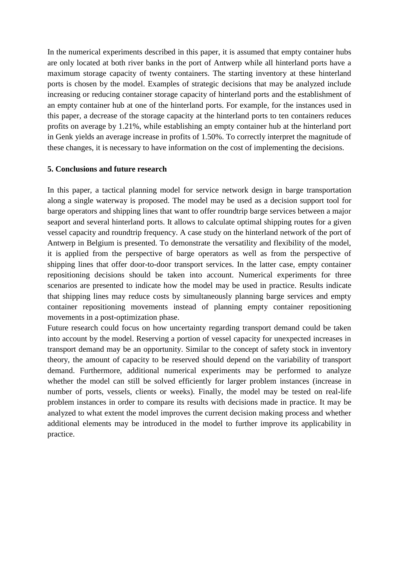In the numerical experiments described in this paper, it is assumed that empty container hubs are only located at both river banks in the port of Antwerp while all hinterland ports have a maximum storage capacity of twenty containers. The starting inventory at these hinterland ports is chosen by the model. Examples of strategic decisions that may be analyzed include increasing or reducing container storage capacity of hinterland ports and the establishment of an empty container hub at one of the hinterland ports. For example, for the instances used in this paper, a decrease of the storage capacity at the hinterland ports to ten containers reduces profits on average by 1.21%, while establishing an empty container hub at the hinterland port in Genk yields an average increase in profits of 1.50%. To correctly interpret the magnitude of these changes, it is necessary to have information on the cost of implementing the decisions.

### **5. Conclusions and future research**

In this paper, a tactical planning model for service network design in barge transportation along a single waterway is proposed. The model may be used as a decision support tool for barge operators and shipping lines that want to offer roundtrip barge services between a major seaport and several hinterland ports. It allows to calculate optimal shipping routes for a given vessel capacity and roundtrip frequency. A case study on the hinterland network of the port of Antwerp in Belgium is presented. To demonstrate the versatility and flexibility of the model, it is applied from the perspective of barge operators as well as from the perspective of shipping lines that offer door-to-door transport services. In the latter case, empty container repositioning decisions should be taken into account. Numerical experiments for three scenarios are presented to indicate how the model may be used in practice. Results indicate that shipping lines may reduce costs by simultaneously planning barge services and empty container repositioning movements instead of planning empty container repositioning movements in a post-optimization phase.

Future research could focus on how uncertainty regarding transport demand could be taken into account by the model. Reserving a portion of vessel capacity for unexpected increases in transport demand may be an opportunity. Similar to the concept of safety stock in inventory theory, the amount of capacity to be reserved should depend on the variability of transport demand. Furthermore, additional numerical experiments may be performed to analyze whether the model can still be solved efficiently for larger problem instances (increase in number of ports, vessels, clients or weeks). Finally, the model may be tested on real-life problem instances in order to compare its results with decisions made in practice. It may be analyzed to what extent the model improves the current decision making process and whether additional elements may be introduced in the model to further improve its applicability in practice.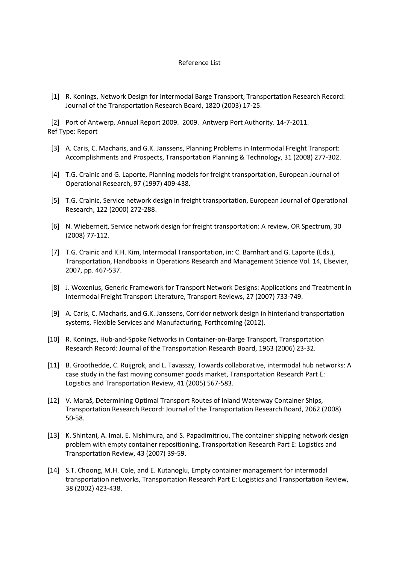#### Reference List

[1] R. Konings, Network Design for Intermodal Barge Transport, Transportation Research Record: Journal of the Transportation Research Board, 1820 (2003) 17-25.

[2] Port of Antwerp. Annual Report 2009. 2009. Antwerp Port Authority. 14-7-2011. Ref Type: Report

- [3] A. Caris, C. Macharis, and G.K. Janssens, Planning Problems in Intermodal Freight Transport: Accomplishments and Prospects, Transportation Planning & Technology, 31 (2008) 277-302.
- [4] T.G. Crainic and G. Laporte, Planning models for freight transportation, European Journal of Operational Research, 97 (1997) 409-438.
- [5] T.G. Crainic, Service network design in freight transportation, European Journal of Operational Research, 122 (2000) 272-288.
- [6] N. Wieberneit, Service network design for freight transportation: A review, OR Spectrum, 30 (2008) 77-112.
- [7] T.G. Crainic and K.H. Kim, Intermodal Transportation, in: C. Barnhart and G. Laporte (Eds.), Transportation, Handbooks in Operations Research and Management Science Vol. 14*,* Elsevier, 2007, pp. 467-537.
- [8] J. Woxenius, Generic Framework for Transport Network Designs: Applications and Treatment in Intermodal Freight Transport Literature, Transport Reviews, 27 (2007) 733-749.
- [9] A. Caris, C. Macharis, and G.K. Janssens, Corridor network design in hinterland transportation systems, Flexible Services and Manufacturing, Forthcoming (2012).
- [10] R. Konings, Hub-and-Spoke Networks in Container-on-Barge Transport, Transportation Research Record: Journal of the Transportation Research Board, 1963 (2006) 23-32.
- [11] B. Groothedde, C. Ruijgrok, and L. Tavasszy, Towards collaborative, intermodal hub networks: A case study in the fast moving consumer goods market, Transportation Research Part E: Logistics and Transportation Review, 41 (2005) 567-583.
- [12] V. Maraš, Determining Optimal Transport Routes of Inland Waterway Container Ships, Transportation Research Record: Journal of the Transportation Research Board, 2062 (2008) 50-58.
- [13] K. Shintani, A. Imai, E. Nishimura, and S. Papadimitriou, The container shipping network design problem with empty container repositioning, Transportation Research Part E: Logistics and Transportation Review, 43 (2007) 39-59.
- [14] S.T. Choong, M.H. Cole, and E. Kutanoglu, Empty container management for intermodal transportation networks, Transportation Research Part E: Logistics and Transportation Review, 38 (2002) 423-438.